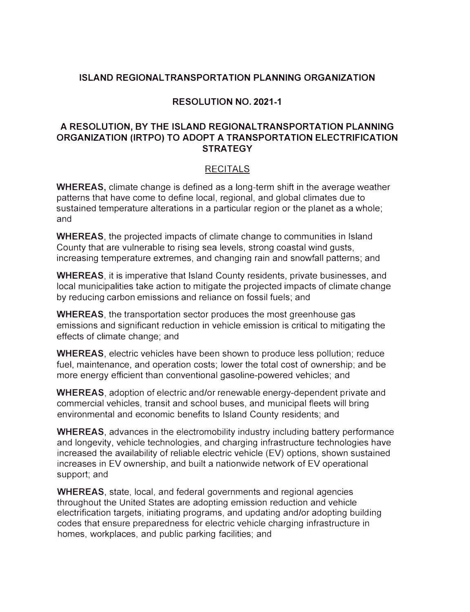## **ISLAND REGIONAL TRANSPORTATION PLANNING ORGANIZATION**

## **RESOLUTION NO. 2021-1**

## **A RESOLUTION, BY THE ISLAND REGIONAL TRANSPORTATION PLANNING ORGANIZATION (IRTPO) TO ADOPT A TRANSPORTATION ELECTRIFICATION STRATEGY**

## RECITALS

**WHEREAS,** climate change is defined as a long-term shift in the average weather patterns that have come to define local, regional, and global climates due to sustained temperature alterations in a particular region or the planet as a whole; and

**WHEREAS,** the projected impacts of climate change to communities in Island County that are vulnerable to rising sea levels, strong coastal wind gusts, increasing temperature extremes, and changing rain and snowfall patterns; and

**WHEREAS,** it is imperative that Island County residents, private businesses, and local municipalities take action to mitigate the projected impacts of climate change by reducing carbon emissions and reliance on fossil fuels; and

**WHEREAS,** the transportation sector produces the most greenhouse gas emissions and significant reduction in vehicle emission is critical to mitigating the effects of climate change; and

**WHEREAS,** electric vehicles have been shown to produce less pollution; reduce fuel, maintenance, and operation costs; lower the total cost of ownership; and be more energy efficient than conventional gasoline-powered vehicles; and

**WHEREAS,** adoption of electric and/or renewable energy-dependent private and commercial vehicles, transit and school buses, and municipal fleets will bring environmental and economic benefits to Island County residents; and

**WHEREAS,** advances in the electromobility industry including battery performance and longevity, vehicle technologies, and charging infrastructure technologies have increased the availability of reliable electric vehicle (EV) options, shown sustained increases in EV ownership, and built a nationwide network of EV operational support; and

**WHEREAS,** state, local, and federal governments and regional agencies throughout the United States are adopting emission reduction and vehicle electrification targets, initiating programs, and updating and/or adopting building codes that ensure preparedness for electric vehicle charging infrastructure in homes, workplaces, and public parking facilities; and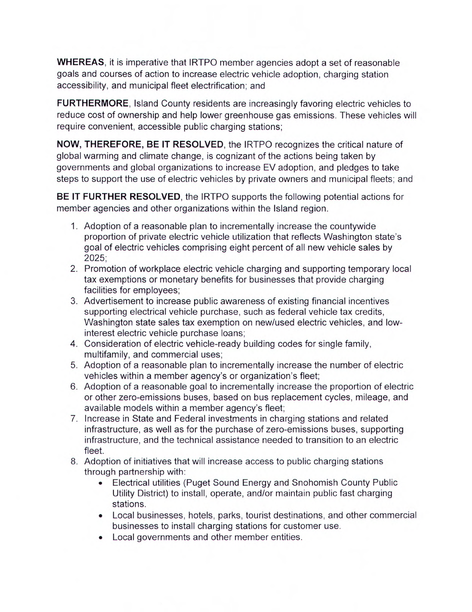**WHEREAS,** it is imperative that IRTPO member agencies adopt a set of reasonable goals and courses of action to increase electric vehicle adoption, charging station accessibility, and municipal fleet electrification; and

**FURTHERMORE,** Island County residents are increasingly favoring electric vehicles to reduce cost of ownership and help lower greenhouse gas emissions. These vehicles will require convenient, accessible public charging stations;

**NOW, THEREFORE, BE** IT **RESOLVED,** the IRTPO recognizes the critical nature of global warming and climate change, is cognizant of the actions being taken by governments and global organizations to increase EV adoption, and pledges to take steps to support the use of electric vehicles by private owners and municipal fleets; and

**BE** IT **FURTHER RESOLVED,** the IRTPO supports the following potential actions for member agencies and other organizations within the Island region.

- 1. Adoption of a reasonable plan to incrementally increase the countywide proportion of private electric vehicle utilization that reflects Washington state's goal of electric vehicles comprising eight percent of all new vehicle sales by 2025;
- 2. Promotion of workplace electric vehicle charging and supporting temporary local tax exemptions or monetary benefits for businesses that provide charging facilities for employees;
- 3. Advertisement to increase public awareness of existing financial incentives supporting electrical vehicle purchase, such as federal vehicle tax credits, Washington state sales tax exemption on new/used electric vehicles, and lowinterest electric vehicle purchase loans;
- 4. Consideration of electric vehicle-ready building codes for single family, multifamily, and commercial uses;
- 5. Adoption of a reasonable plan to incrementally increase the number of electric vehicles within a member agency's or organization's fleet;
- 6. Adoption of a reasonable goal to incrementally increase the proportion of electric or other zero-emissions buses, based on bus replacement cycles, mileage, and available models within a member agency's fleet;
- 7. Increase in State and Federal investments in charging stations and related infrastructure, as well as for the purchase of zero-emissions buses, supporting infrastructure, and the technical assistance needed to transition to an electric fleet.
- 8. Adoption of initiatives that will increase access to public charging stations through partnership with:
	- Electrical utilities (Puget Sound Energy and Snohomish County Public Utility District) to install, operate, and/or maintain public fast charging stations.
	- Local businesses, hotels, parks, tourist destinations, and other commercial businesses to install charging stations for customer use.
	- Local governments and other member entities.